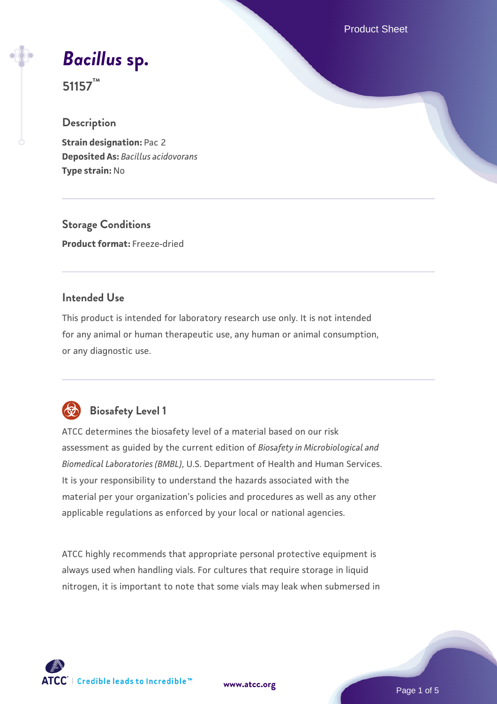Product Sheet

*[Bacillus](https://www.atcc.org/products/51157)* **[sp.](https://www.atcc.org/products/51157)**

**51157™**

### **Description**

**Strain designation: Pac 2 Deposited As:** *Bacillus acidovorans* **Type strain:** No

**Storage Conditions Product format:** Freeze-dried

## **Intended Use**

This product is intended for laboratory research use only. It is not intended for any animal or human therapeutic use, any human or animal consumption, or any diagnostic use.



## **Biosafety Level 1**

ATCC determines the biosafety level of a material based on our risk assessment as guided by the current edition of *Biosafety in Microbiological and Biomedical Laboratories (BMBL)*, U.S. Department of Health and Human Services. It is your responsibility to understand the hazards associated with the material per your organization's policies and procedures as well as any other applicable regulations as enforced by your local or national agencies.

ATCC highly recommends that appropriate personal protective equipment is always used when handling vials. For cultures that require storage in liquid nitrogen, it is important to note that some vials may leak when submersed in

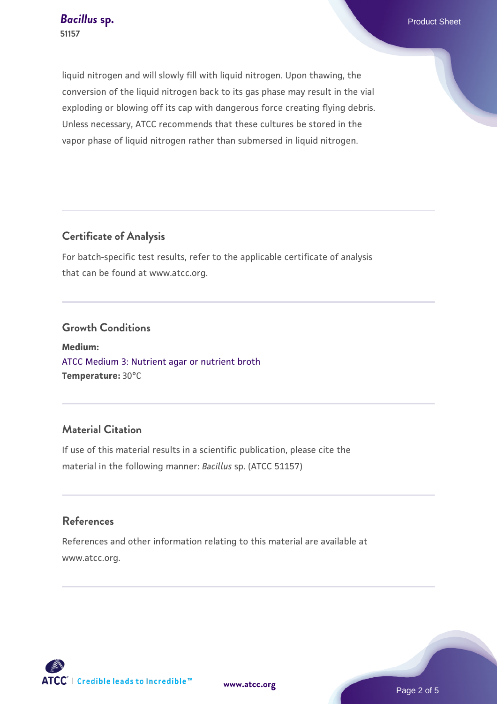liquid nitrogen and will slowly fill with liquid nitrogen. Upon thawing, the conversion of the liquid nitrogen back to its gas phase may result in the vial exploding or blowing off its cap with dangerous force creating flying debris. Unless necessary, ATCC recommends that these cultures be stored in the vapor phase of liquid nitrogen rather than submersed in liquid nitrogen.

## **Certificate of Analysis**

For batch-specific test results, refer to the applicable certificate of analysis that can be found at www.atcc.org.

#### **Growth Conditions**

**Medium:**  [ATCC Medium 3: Nutrient agar or nutrient broth](https://www.atcc.org/-/media/product-assets/documents/microbial-media-formulations/3/atcc-medium-3.pdf?rev=7510837507e64d849c62a46b5b2197a1) **Temperature:** 30°C

## **Material Citation**

If use of this material results in a scientific publication, please cite the material in the following manner: *Bacillus* sp. (ATCC 51157)

### **References**

References and other information relating to this material are available at www.atcc.org.

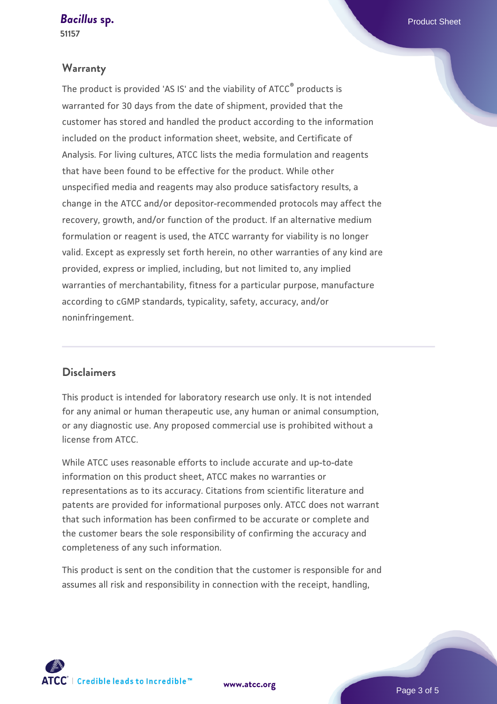#### **[Bacillus](https://www.atcc.org/products/51157) [sp.](https://www.atcc.org/products/51157)** Product Sheet

**51157**

#### **Warranty**

The product is provided 'AS IS' and the viability of ATCC® products is warranted for 30 days from the date of shipment, provided that the customer has stored and handled the product according to the information included on the product information sheet, website, and Certificate of Analysis. For living cultures, ATCC lists the media formulation and reagents that have been found to be effective for the product. While other unspecified media and reagents may also produce satisfactory results, a change in the ATCC and/or depositor-recommended protocols may affect the recovery, growth, and/or function of the product. If an alternative medium formulation or reagent is used, the ATCC warranty for viability is no longer valid. Except as expressly set forth herein, no other warranties of any kind are provided, express or implied, including, but not limited to, any implied warranties of merchantability, fitness for a particular purpose, manufacture according to cGMP standards, typicality, safety, accuracy, and/or noninfringement.

#### **Disclaimers**

This product is intended for laboratory research use only. It is not intended for any animal or human therapeutic use, any human or animal consumption, or any diagnostic use. Any proposed commercial use is prohibited without a license from ATCC.

While ATCC uses reasonable efforts to include accurate and up-to-date information on this product sheet, ATCC makes no warranties or representations as to its accuracy. Citations from scientific literature and patents are provided for informational purposes only. ATCC does not warrant that such information has been confirmed to be accurate or complete and the customer bears the sole responsibility of confirming the accuracy and completeness of any such information.

This product is sent on the condition that the customer is responsible for and assumes all risk and responsibility in connection with the receipt, handling,

**[www.atcc.org](http://www.atcc.org)**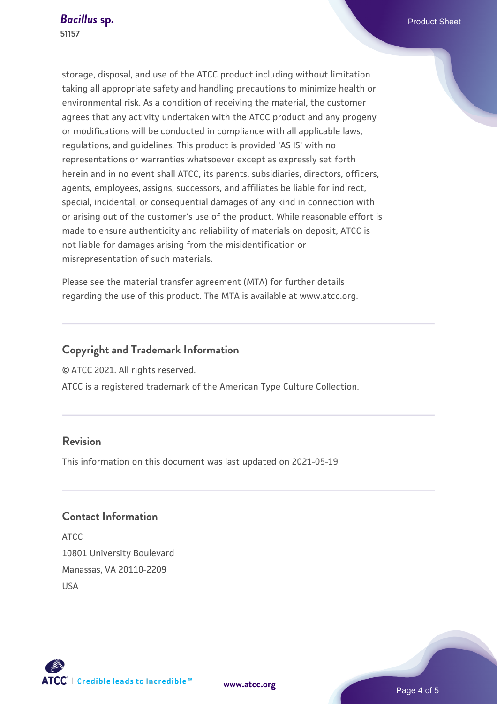storage, disposal, and use of the ATCC product including without limitation taking all appropriate safety and handling precautions to minimize health or environmental risk. As a condition of receiving the material, the customer agrees that any activity undertaken with the ATCC product and any progeny or modifications will be conducted in compliance with all applicable laws, regulations, and guidelines. This product is provided 'AS IS' with no representations or warranties whatsoever except as expressly set forth herein and in no event shall ATCC, its parents, subsidiaries, directors, officers, agents, employees, assigns, successors, and affiliates be liable for indirect, special, incidental, or consequential damages of any kind in connection with or arising out of the customer's use of the product. While reasonable effort is made to ensure authenticity and reliability of materials on deposit, ATCC is not liable for damages arising from the misidentification or misrepresentation of such materials.

Please see the material transfer agreement (MTA) for further details regarding the use of this product. The MTA is available at www.atcc.org.

## **Copyright and Trademark Information**

© ATCC 2021. All rights reserved.

ATCC is a registered trademark of the American Type Culture Collection.

## **Revision**

This information on this document was last updated on 2021-05-19

## **Contact Information**

ATCC 10801 University Boulevard Manassas, VA 20110-2209 USA